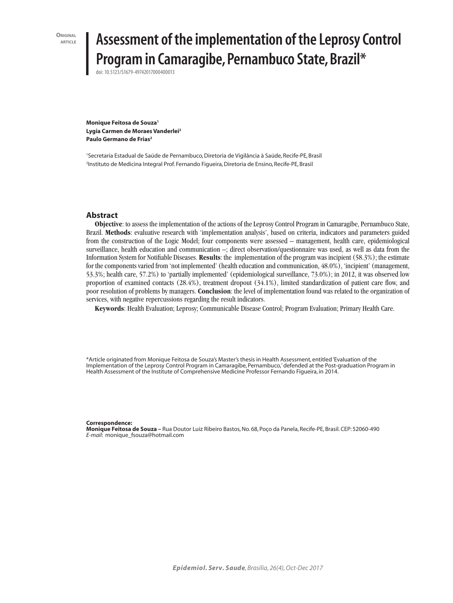**ORIGINAL** 

# **Assessment of the implementation of the Leprosy Control Program in Camaragibe, Pernambuco State, Brazil\***

doi: 10.5123/S1679-49742017000400013

**Monique Feitosa de Souza1 Lygia Carmen de Moraes Vanderlei2 Paulo Germano de Frias2**

1 Secretaria Estadual de Saúde de Pernambuco, Diretoria de Vigilância à Saúde, Recife-PE, Brasil 2 Instituto de Medicina Integral Prof. Fernando Figueira, Diretoria de Ensino, Recife-PE, Brasil

#### **Abstract**

**Objective**: to assess the implementation of the actions of the Leprosy Control Program in Camaragibe, Pernambuco State, Brazil. **Methods**: evaluative research with 'implementation analysis', based on criteria, indicators and parameters guided from the construction of the Logic Model; four components were assessed – management, health care, epidemiological surveillance, health education and communication –; direct observation/questionnaire was used, as well as data from the Information System for Notifiable Diseases. **Results**: the implementation of the program was incipient (58.3%); the estimate for the components varied from 'not implemented' (health education and communication, 48.0%), 'incipient' (management, 53.3%; health care, 57.2%) to 'partially implemented' (epidemiological surveillance, 73.0%); in 2012, it was observed low proportion of examined contacts (28.4%), treatment dropout (34.1%), limited standardization of patient care flow, and poor resolution of problems by managers. **Conclusion**: the level of implementation found was related to the organization of services, with negative repercussions regarding the result indicators.

**Keywords**: Health Evaluation; Leprosy; Communicable Disease Control; Program Evaluation; Primary Health Care.

\*Article originated from Monique Feitosa de Souza's Master's thesis in Health Assessment, entitled 'Evaluation of the Implementation of the Leprosy Control Program in Camaragibe, Pernambuco,' defended at the Post-graduation Program in Health Assessment of the Institute of Comprehensive Medicine Professor Fernando Figueira, in 2014.

**Correspondence:** 

**Monique Feitosa de Souza –** Rua Doutor Luiz Ribeiro Bastos, No. 68, Poço da Panela, Recife-PE, Brasil. CEP: 52060-490 *E-mail*: monique\_fsouza@hotmail.com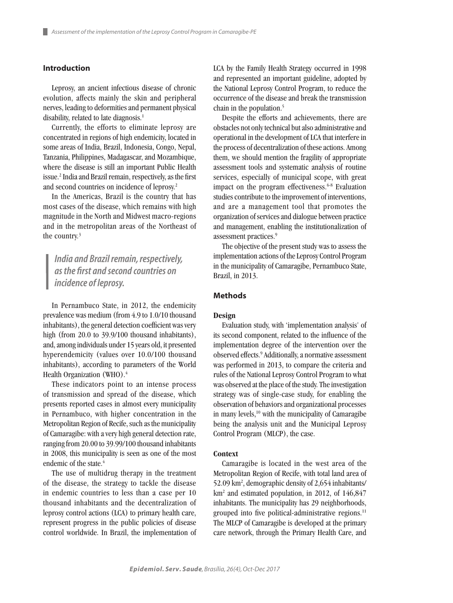## **Introduction**

Leprosy, an ancient infectious disease of chronic evolution, affects mainly the skin and peripheral nerves, leading to deformities and permanent physical disability, related to late diagnosis.<sup>1</sup>

Currently, the efforts to eliminate leprosy are concentrated in regions of high endemicity, located in some areas of India, Brazil, Indonesia, Congo, Nepal, Tanzania, Philippines, Madagascar, and Mozambique, where the disease is still an important Public Health issue.2 India and Brazil remain, respectively, as the first and second countries on incidence of leprosy.2

In the Americas, Brazil is the country that has most cases of the disease, which remains with high magnitude in the North and Midwest macro-regions and in the metropolitan areas of the Northeast of the country.3

*India and Brazil remain, respectively, as the first and second countries on incidence of leprosy.*

In Pernambuco State, in 2012, the endemicity prevalence was medium (from 4.9 to 1.0/10 thousand inhabitants), the general detection coefficient was very high (from 20.0 to 39.9/100 thousand inhabitants), and, among individuals under 15 years old, it presented hyperendemicity (values over 10.0/100 thousand inhabitants), according to parameters of the World Health Organization (WHO).<sup>4</sup>

These indicators point to an intense process of transmission and spread of the disease, which presents reported cases in almost every municipality in Pernambuco, with higher concentration in the Metropolitan Region of Recife, such as the municipality of Camaragibe: with a very high general detection rate, ranging from 20.00 to 39.99/100 thousand inhabitants in 2008, this municipality is seen as one of the most endemic of the state.<sup>4</sup>

The use of multidrug therapy in the treatment of the disease, the strategy to tackle the disease in endemic countries to less than a case per 10 thousand inhabitants and the decentralization of leprosy control actions (LCA) to primary health care, represent progress in the public policies of disease control worldwide. In Brazil, the implementation of

LCA by the Family Health Strategy occurred in 1998 and represented an important guideline, adopted by the National Leprosy Control Program, to reduce the occurrence of the disease and break the transmission chain in the population.5

Despite the efforts and achievements, there are obstacles not only technical but also administrative and operational in the development of LCA that interfere in the process of decentralization of these actions. Among them, we should mention the fragility of appropriate assessment tools and systematic analysis of routine services, especially of municipal scope, with great impact on the program effectiveness.<sup>6-8</sup> Evaluation studies contribute to the improvement of interventions, and are a management tool that promotes the organization of services and dialogue between practice and management, enabling the institutionalization of assessment practices.9

The objective of the present study was to assess the implementation actions of the Leprosy Control Program in the municipality of Camaragibe, Pernambuco State, Brazil, in 2013.

#### **Methods**

#### **Design**

Evaluation study, with 'implementation analysis' of its second component, related to the influence of the implementation degree of the intervention over the observed effects.9 Additionally, a normative assessment was performed in 2013, to compare the criteria and rules of the National Leprosy Control Program to what was observed at the place of the study. The investigation strategy was of single-case study, for enabling the observation of behaviors and organizational processes in many levels,<sup>10</sup> with the municipality of Camaragibe being the analysis unit and the Municipal Leprosy Control Program (MLCP), the case.

#### **Context**

Camaragibe is located in the west area of the Metropolitan Region of Recife, with total land area of 52.09 km2 , demographic density of 2,654 inhabitants/ km<sup>2</sup> and estimated population, in 2012, of 146,847 inhabitants. The municipality has 29 neighborhoods, grouped into five political-administrative regions.<sup>11</sup> The MLCP of Camaragibe is developed at the primary care network, through the Primary Health Care, and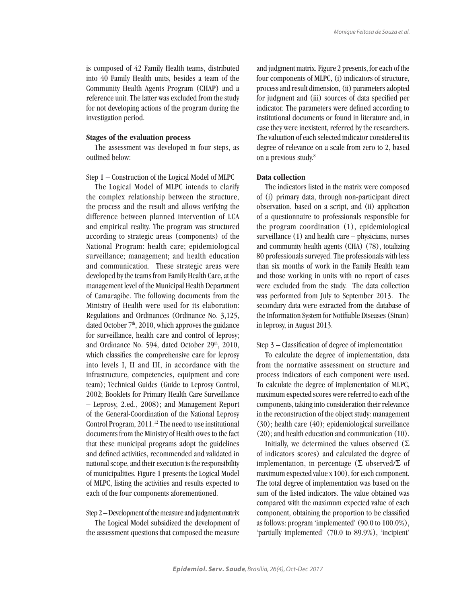is composed of 42 Family Health teams, distributed into 40 Family Health units, besides a team of the Community Health Agents Program (CHAP) and a reference unit. The latter was excluded from the study for not developing actions of the program during the investigation period.

#### **Stages of the evaluation process**

The assessment was developed in four steps, as outlined below:

Step 1 – Construction of the Logical Model of MLPC

The Logical Model of MLPC intends to clarify the complex relationship between the structure, the process and the result and allows verifying the difference between planned intervention of LCA and empirical reality. The program was structured according to strategic areas (components) of the National Program: health care; epidemiological surveillance; management; and health education and communication. These strategic areas were developed by the teams from Family Health Care, at the management level of the Municipal Health Department of Camaragibe. The following documents from the Ministry of Health were used for its elaboration: Regulations and Ordinances (Ordinance No. 3,125, dated October 7<sup>th</sup>, 2010, which approves the guidance for surveillance, health care and control of leprosy; and Ordinance No. 594, dated October 29<sup>th</sup>, 2010, which classifies the comprehensive care for leprosy into levels I, II and III, in accordance with the infrastructure, competencies, equipment and core team); Technical Guides (Guide to Leprosy Control, 2002; Booklets for Primary Health Care Surveillance – Leprosy, 2.ed., 2008); and Management Report of the General-Coordination of the National Leprosy Control Program, 2011.<sup>12</sup> The need to use institutional documents from the Ministry of Health owes to the fact that these municipal programs adopt the guidelines and defined activities, recommended and validated in national scope, and their execution is the responsibility of municipalities. Figure 1 presents the Logical Model of MLPC, listing the activities and results expected to each of the four components aforementioned.

### Step 2 – Development of the measure and judgment matrix

The Logical Model subsidized the development of the assessment questions that composed the measure and judgment matrix. Figure 2 presents, for each of the four components of MLPC, (i) indicators of structure, process and result dimension, (ii) parameters adopted for judgment and (iii) sources of data specified per indicator. The parameters were defined according to institutional documents or found in literature and, in case they were inexistent, referred by the researchers. The valuation of each selected indicator considered its degree of relevance on a scale from zero to 2, based on a previous study.<sup>8</sup>

#### **Data collection**

The indicators listed in the matrix were composed of (i) primary data, through non-participant direct observation, based on a script, and (ii) application of a questionnaire to professionals responsible for the program coordination (1), epidemiological surveillance (1) and health care – physicians, nurses and community health agents (CHA) (78), totalizing 80 professionals surveyed. The professionals with less than six months of work in the Family Health team and those working in units with no report of cases were excluded from the study. The data collection was performed from July to September 2013. The secondary data were extracted from the database of the Information System for Notifiable Diseases (Sinan) in leprosy, in August 2013.

#### Step 3 – Classification of degree of implementation

To calculate the degree of implementation, data from the normative assessment on structure and process indicators of each component were used. To calculate the degree of implementation of MLPC, maximum expected scores were referred to each of the components, taking into consideration their relevance in the reconstruction of the object study: management (30); health care (40); epidemiological surveillance (20); and health education and communication (10).

Initially, we determined the values observed  $(\Sigma$ of indicators scores) and calculated the degree of implementation, in percentage (Σ observed/Σ of maximum expected value x 100), for each component. The total degree of implementation was based on the sum of the listed indicators. The value obtained was compared with the maximum expected value of each component, obtaining the proportion to be classified as follows: program 'implemented' (90.0 to 100.0%), 'partially implemented' (70.0 to 89.9%), 'incipient'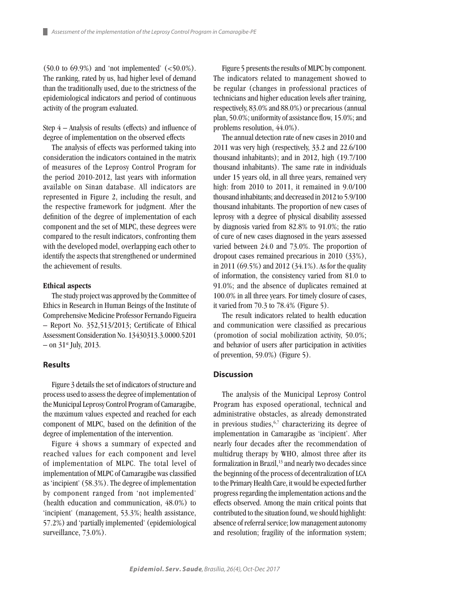$(50.0 \text{ to } 69.9\%)$  and 'not implemented'  $(<50.0\%)$ . The ranking, rated by us, had higher level of demand than the traditionally used, due to the strictness of the epidemiological indicators and period of continuous activity of the program evaluated.

Step 4 – Analysis of results (effects) and influence of degree of implementation on the observed effects

The analysis of effects was performed taking into consideration the indicators contained in the matrix of measures of the Leprosy Control Program for the period 2010-2012, last years with information available on Sinan database. All indicators are represented in Figure 2, including the result, and the respective framework for judgment. After the definition of the degree of implementation of each component and the set of MLPC, these degrees were compared to the result indicators, confronting them with the developed model, overlapping each other to identify the aspects that strengthened or undermined the achievement of results.

#### **Ethical aspects**

The study project was approved by the Committee of Ethics in Research in Human Beings of the Institute of Comprehensive Medicine Professor Fernando Figueira – Report No. 352,513/2013; Certificate of Ethical Assessment Consideration No. 13430313.3.0000.5201  $-$  on 31<sup>st</sup> July, 2013.

### **Results**

Figure 3 details the set of indicators of structure and process used to assess the degree of implementation of the Municipal Leprosy Control Program of Camaragibe, the maximum values expected and reached for each component of MLPC, based on the definition of the degree of implementation of the intervention.

Figure 4 shows a summary of expected and reached values for each component and level of implementation of MLPC. The total level of implementation of MLPC of Camaragibe was classified as 'incipient' (58.3%). The degree of implementation by component ranged from 'not implemented' (health education and communication, 48.0%) to 'incipient' (management, 53.3%; health assistance, 57.2%) and 'partially implemented' (epidemiological surveillance, 73.0%).

Figure 5 presents the results of MLPC by component. The indicators related to management showed to be regular (changes in professional practices of technicians and higher education levels after training, respectively, 83.0% and 88.0%) or precarious (annual plan, 50.0%; uniformity of assistance flow, 15.0%; and problems resolution, 44.0%).

The annual detection rate of new cases in 2010 and 2011 was very high (respectively, 33.2 and 22.6/100 thousand inhabitants); and in 2012, high (19.7/100 thousand inhabitants). The same rate in individuals under 15 years old, in all three years, remained very high: from 2010 to 2011, it remained in 9.0/100 thousand inhabitants; and decreased in 2012 to 5.9/100 thousand inhabitants. The proportion of new cases of leprosy with a degree of physical disability assessed by diagnosis varied from 82.8% to 91.0%; the ratio of cure of new cases diagnosed in the years assessed varied between 24.0 and 73.0%. The proportion of dropout cases remained precarious in 2010 (33%), in 2011 (69.5%) and 2012 (34.1%). As for the quality of information, the consistency varied from 81.0 to 91.0%; and the absence of duplicates remained at 100.0% in all three years. For timely closure of cases, it varied from 70.3 to 78.4% (Figure 5).

The result indicators related to health education and communication were classified as precarious (promotion of social mobilization activity, 50.0%; and behavior of users after participation in activities of prevention, 59.0%) (Figure 5).

#### **Discussion**

The analysis of the Municipal Leprosy Control Program has exposed operational, technical and administrative obstacles, as already demonstrated in previous studies,  $6,7$  characterizing its degree of implementation in Camaragibe as 'incipient'. After nearly four decades after the recommendation of multidrug therapy by WHO, almost three after its formalization in Brazil,<sup>13</sup> and nearly two decades since the beginning of the process of decentralization of LCA to the Primary Health Care, it would be expected further progress regarding the implementation actions and the effects observed. Among the main critical points that contributed to the situation found, we should highlight: absence of referral service; low management autonomy and resolution; fragility of the information system;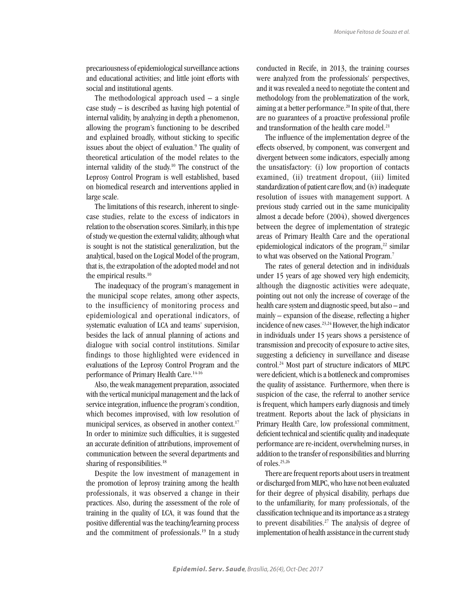precariousness of epidemiological surveillance actions and educational activities; and little joint efforts with social and institutional agents.

The methodological approach used  $-$  a single case study  $-$  is described as having high potential of internal validity, by analyzing in depth a phenomenon, allowing the program's functioning to be described and explained broadly, without sticking to specific issues about the object of evaluation.<sup>9</sup> The quality of theoretical articulation of the model relates to the internal validity of the study.10 The construct of the Leprosy Control Program is well established, based on biomedical research and interventions applied in large scale.

The limitations of this research, inherent to singlecase studies, relate to the excess of indicators in relation to the observation scores. Similarly, in this type of study we question the external validity, although what is sought is not the statistical generalization, but the analytical, based on the Logical Model of the program, that is, the extrapolation of the adopted model and not the empirical results.<sup>10</sup>

The inadequacy of the program's management in the municipal scope relates, among other aspects, to the insufficiency of monitoring process and epidemiological and operational indicators, of systematic evaluation of LCA and teams' supervision, besides the lack of annual planning of actions and dialogue with social control institutions. Similar findings to those highlighted were evidenced in evaluations of the Leprosy Control Program and the performance of Primary Health Care.<sup>14-16</sup>

Also, the weak management preparation, associated with the vertical municipal management and the lack of service integration, influence the program's condition, which becomes improvised, with low resolution of municipal services, as observed in another context.<sup>17</sup> In order to minimize such difficulties, it is suggested an accurate definition of attributions, improvement of communication between the several departments and sharing of responsibilities.<sup>18</sup>

Despite the low investment of management in the promotion of leprosy training among the health professionals, it was observed a change in their practices. Also, during the assessment of the role of training in the quality of LCA, it was found that the positive differential was the teaching/learning process and the commitment of professionals.19 In a study conducted in Recife, in 2013, the training courses were analyzed from the professionals' perspectives, and it was revealed a need to negotiate the content and methodology from the problematization of the work, aiming at a better performance.20 In spite of that, there are no guarantees of a proactive professional profile and transformation of the health care model.<sup>21</sup>

The influence of the implementation degree of the effects observed, by component, was convergent and divergent between some indicators, especially among the unsatisfactory: (i) low proportion of contacts examined, (ii) treatment dropout, (iii) limited standardization of patient care flow, and (iv) inadequate resolution of issues with management support. A previous study carried out in the same municipality almost a decade before (2004), showed divergences between the degree of implementation of strategic areas of Primary Health Care and the operational epidemiological indicators of the program, $^{22}$  similar to what was observed on the National Program.<sup>7</sup>

The rates of general detection and in individuals under 15 years of age showed very high endemicity, although the diagnostic activities were adequate, pointing out not only the increase of coverage of the health care system and diagnostic speed, but also – and mainly – expansion of the disease, reflecting a higher incidence of new cases.23,24 However, the high indicator in individuals under 15 years shows a persistence of transmission and precocity of exposure to active sites, suggesting a deficiency in surveillance and disease control.24 Most part of structure indicators of MLPC were deficient, which is a bottleneck and compromises the quality of assistance. Furthermore, when there is suspicion of the case, the referral to another service is frequent, which hampers early diagnosis and timely treatment. Reports about the lack of physicians in Primary Health Care, low professional commitment, deficient technical and scientific quality and inadequate performance are re-incident, overwhelming nurses, in addition to the transfer of responsibilities and blurring of roles.25,26

There are frequent reports about users in treatment or discharged from MLPC, who have not been evaluated for their degree of physical disability, perhaps due to the unfamiliarity, for many professionals, of the classification technique and its importance as a strategy to prevent disabilities.<sup>27</sup> The analysis of degree of implementation of health assistance in the current study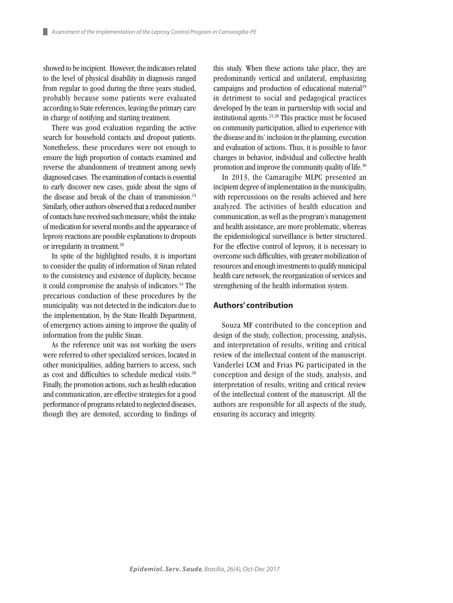showed to be incipient. However, the indicators related to the level of physical disability in diagnosis ranged from regular to good during the three years studied, probably because some patients were evaluated according to State references, leaving the primary care in charge of notifying and starting treatment.

There was good evaluation regarding the active search for household contacts and dropout patients. Nonetheless, these procedures were not enough to ensure the high proportion of contacts examined and reverse the abandonment of treatment among newly diagnosed cases. The examination of contacts is essential to early discover new cases, guide about the signs of the disease and break of the chain of transmission.<sup>24</sup> Similarly, other authors observed that a reduced number of contacts have received such measure, whilst the intake of medication for several months and the appearance of leprosy reactions are possible explanations to dropouts or irregularity in treatment.28

In spite of the highlighted results, it is important to consider the quality of information of Sinan related to the consistency and existence of duplicity, because it could compromise the analysis of indicators.14 The precarious conduction of these procedures by the municipality was not detected in the indicators due to the implementation, by the State Health Department, of emergency actions aiming to improve the quality of information from the public Sinan.

As the reference unit was not working the users were referred to other specialized services, located in other municipalities, adding barriers to access, such as cost and difficulties to schedule medical visits.<sup>28</sup> Finally, the promotion actions, such as health education and communication, are effective strategies for a good performance of programs related to neglected diseases, though they are demoted, according to findings of this study. When these actions take place, they are predominantly vertical and unilateral, emphasizing campaigns and production of educational material<sup>29</sup> in detriment to social and pedagogical practices developed by the team in partnership with social and institutional agents. $21,28$  This practice must be focused on community participation, allied to experience with the disease and its' inclusion in the planning, execution and evaluation of actions. Thus, it is possible to favor changes in behavior, individual and collective health promotion and improve the community quality of life.<sup>30</sup>

In 2013, the Camaragibe MLPC presented an incipient degree of implementation in the municipality, with repercussions on the results achieved and here analyzed. The activities of health education and communication, as well as the program's management and health assistance, are more problematic, whereas the epidemiological surveillance is better structured. For the effective control of leprosy, it is necessary to overcome such difficulties, with greater mobilization of resources and enough investments to qualify municipal health care network, the reorganization of services and strengthening of the health information system.

#### **Authors' contribution**

Souza MF contributed to the conception and design of the study, collection, processing, analysis, and interpretation of results, writing and critical review of the intellectual content of the manuscript. Vanderlei LCM and Frias PG participated in the conception and design of the study, analysis, and interpretation of results, writing and critical review of the intellectual content of the manuscript. All the authors are responsible for all aspects of the study, ensuring its accuracy and integrity.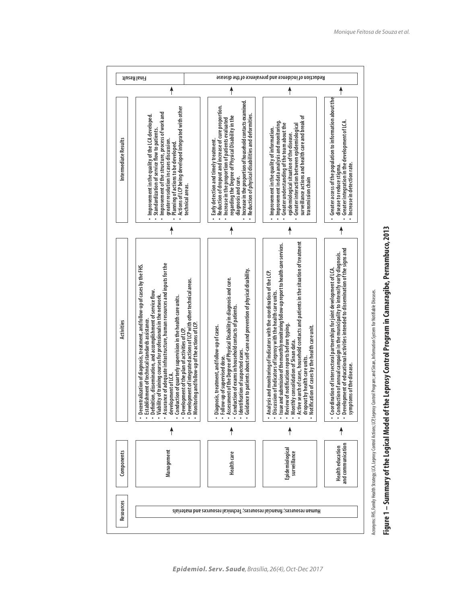

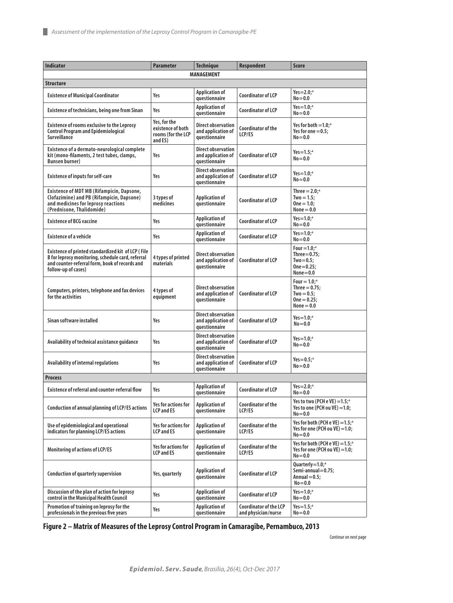| <b>Indicator</b>                                                                                                                                                                 | <b>Parameter</b>                                                   | <b>Technique</b>                                                        | <b>Respondent</b>                                    | <b>Score</b>                                                                                     |
|----------------------------------------------------------------------------------------------------------------------------------------------------------------------------------|--------------------------------------------------------------------|-------------------------------------------------------------------------|------------------------------------------------------|--------------------------------------------------------------------------------------------------|
|                                                                                                                                                                                  |                                                                    | <b>MANAGEMENT</b>                                                       |                                                      |                                                                                                  |
| Structure                                                                                                                                                                        |                                                                    |                                                                         |                                                      |                                                                                                  |
| <b>Existence of Municipal Coordinator</b>                                                                                                                                        | Yes                                                                | <b>Application of</b><br><b>auestionnaire</b>                           | <b>Coordinator of LCP</b>                            | Yes= $2.0;$ <sup>a</sup><br>$No = 0.0$                                                           |
| Existence of technicians, being one from Sinan                                                                                                                                   | Yes                                                                | <b>Application of</b><br>questionnaire                                  | Coordinator of LCP                                   | Yes= $1.0$ ; <sup>a</sup><br>$No = 0.0$                                                          |
| <b>Existence of rooms exclusive to the Leprosy</b><br><b>Control Program and Epidemiological</b><br>Surveillance                                                                 | Yes, for the<br>existence of both<br>rooms (for the LCP<br>and ES) | Direct observation<br>and application of<br>questionnaire               | Coordinator of the<br>LCP/ES                         | Yes for both $=1.0$ : $\degree$<br>Yes for one $= 0.5$ ;<br>$No = 0.0$                           |
| Existence of a dermato-neurological complete<br>kit (mono-filaments, 2 test tubes, clamps,<br><b>Bunsen burner)</b>                                                              | Yes                                                                | <b>Direct observation</b><br>and application of<br><i>guestionnaire</i> | Coordinator of LCP                                   | Yes= $1.5$ ; <sup>a</sup><br>$No = 0.0$                                                          |
| <b>Existence of inputs for self-care</b>                                                                                                                                         | Yes                                                                | <b>Direct observation</b><br>and application of<br>questionnaire        | <b>Coordinator of LCP</b>                            | Yes=1.0; $^{\circ}$<br>$No = 0.0$                                                                |
| <b>Existence of MDT MB (Rifampicin, Dapsone,</b><br>Clofazimine) and PB (Rifampicin, Dapsone)<br>and medicines for leprosy reactions<br>(Prednisone, Thalidomide)                | 3 types of<br>medicines                                            | <b>Application of</b><br>questionnaire                                  | <b>Coordinator of LCP</b>                            | Three $= 2.0$ ; <sup>a</sup><br>$Two = 1.5;$<br>$One = 1.0$<br>None $= 0.0$                      |
| <b>Existence of BCG vaccine</b>                                                                                                                                                  | Yes                                                                | <b>Application of</b><br>questionnaire                                  | Coordinator of LCP                                   | Yes= $1.0$ ; <sup>a</sup><br>$No = 0.0$                                                          |
| <b>Existence of a vehicle</b>                                                                                                                                                    | Yes                                                                | <b>Application of</b><br>questionnaire                                  | Coordinator of LCP                                   | Yes= $1.0$ ; <sup>a</sup><br>$No = 0.0$                                                          |
| Existence of printed standardized kit of LCP (File<br>B for leprosy monitoring, schedule card, referral<br>and counter-referral form, book of records and<br>follow-up of cases) | 4 types of printed<br>materials                                    | Direct observation<br>and application of<br>questionnaire               | Coordinator of LCP                                   | Four $=1.0$ : <sup>a</sup><br>Three $=$ 0.75;<br>$Two=0.5$ :<br>$One = 0.25$<br>$None = 0.0$     |
| Computers, printers, telephone and fax devices<br>for the activities                                                                                                             | 4 types of<br>equipment                                            | <b>Direct observation</b><br>and application of<br>questionnaire        | <b>Coordinator of LCP</b>                            | Four $= 1.0$ : <sup>a</sup><br>Three $= 0.75$ ;<br>$Two = 0.5$ ;<br>$One = 0.25$<br>$None = 0.0$ |
| Sinan software installed                                                                                                                                                         | Yes                                                                | <b>Direct observation</b><br>and application of<br>questionnaire        | <b>Coordinator of LCP</b>                            | $Yes=1.0:$ <sup>a</sup><br>$No = 0.0$                                                            |
| Availability of technical assistance quidance                                                                                                                                    | Yes                                                                | <b>Direct observation</b><br>and application of<br>questionnaire        | <b>Coordinator of LCP</b>                            | Yes= $1.0;$ <sup>a</sup><br>$No = 0.0$                                                           |
| Availability of internal regulations                                                                                                                                             | Yes                                                                | <b>Direct observation</b><br>and application of<br>questionnaire        | <b>Coordinator of LCP</b>                            | $Yes=0.5$ ; <sup>a</sup><br>$No = 0.0$                                                           |
| <b>Process</b>                                                                                                                                                                   |                                                                    |                                                                         |                                                      |                                                                                                  |
| Existence of referral and counter-referral flow                                                                                                                                  | Yes                                                                | <b>Application of</b><br>questionnaire                                  | Coordinator of LCP                                   | Yes=2.0; <sup>a</sup><br>$No = 0.0$                                                              |
| Conduction of annual planning of LCP/ES actions                                                                                                                                  | Yes for actions for<br><b>LCP and ES</b>                           | <b>Application of</b><br>questionnaire                                  | <b>Coordinator of the</b><br>LCP/ES                  | Yes to two (PCH e VE) $=1.5$ ; <sup>a</sup><br>Yes to one (PCH ou $VE$ ) = 1.0;<br>$No = 0.0$    |
| Use of epidemiological and operational<br>indicators for planning LCP/ES actions                                                                                                 | Yes for actions for<br><b>LCP and ES</b>                           | <b>Application of</b><br>questionnaire                                  | Coordinator of the<br>LCP/ES                         | Yes for both (PCH e VE) $=1.5$ ; <sup>a</sup><br>Yes for one (PCH ou $VE$ ) = 1.0;<br>$No = 0.0$ |
| <b>Monitoring of actions of LCP/ES</b>                                                                                                                                           | <b>Yes for actions for</b><br><b>LCP and ES</b>                    | <b>Application of</b><br>questionnaire                                  | Coordinator of the<br>LCP/ES                         | Yes for both (PCH e VE) $=1.5$ ; <sup>a</sup><br>Yes for one (PCH ou $VE$ ) = 1.0;<br>$No = 0.0$ |
| Conduction of quarterly supervision                                                                                                                                              | Yes, quarterly                                                     | <b>Application of</b><br>questionnaire                                  | Coordinator of LCP                                   | Quarterly= $1.0$ ; <sup>a</sup><br>Semi-annual=0.75;<br>Annual $= 0.5$ ;<br>$No = 0.0$           |
| Discussion of the plan of action for leprosy<br>control in the Municipal Health Council                                                                                          | Yes                                                                | <b>Application of</b><br>questionnaire                                  | <b>Coordinator of LCP</b>                            | Yes= $1.0$ ; <sup>a</sup><br>$No = 0.0$                                                          |
| Promotion of training on leprosy for the<br>professionals in the previous five years                                                                                             | Yes                                                                | <b>Application of</b><br>questionnaire                                  | <b>Coordinator of the LCP</b><br>and physician/nurse | Yes= $1.5$ ; <sup>a</sup><br>$No = 0.0$                                                          |

**Figure 2 – Matrix of Measures of the Leprosy Control Program in Camaragibe, Pernambuco, 2013**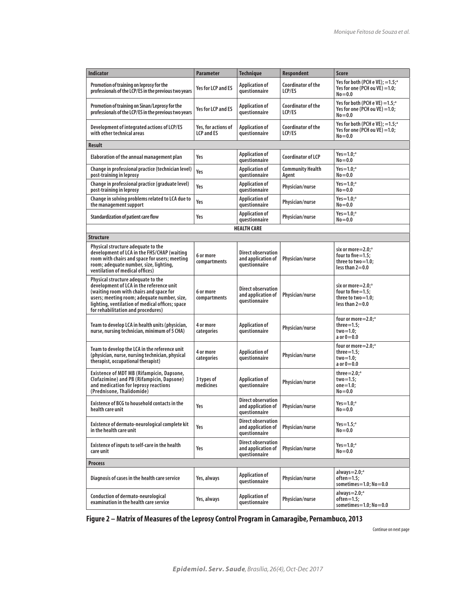| <b>Indicator</b>                                                                                                                                                                                                                                                  | Parameter                                | <b>Technique</b>                                                 | <b>Respondent</b>                | Score                                                                                         |
|-------------------------------------------------------------------------------------------------------------------------------------------------------------------------------------------------------------------------------------------------------------------|------------------------------------------|------------------------------------------------------------------|----------------------------------|-----------------------------------------------------------------------------------------------|
| Promotion of training on leprosy for the<br>professionals of the LCP/ES in the previous two years                                                                                                                                                                 | Yes for LCP and ES                       | <b>Application of</b><br>questionnaire                           | Coordinator of the<br>LCP/ES     | Yes for both (PCH e VE); =1.5;ª<br>Yes for one (PCH ou VE) =1.0;<br>$No = 0.0$                |
| Promotion of training on Sinan/Leprosy for the<br>professionals of the LCP/ES in the previous two years                                                                                                                                                           | Yes for LCP and ES                       | Application of<br>questionnaire                                  | Coordinator of the<br>LCP/ES     | Yes for both (PCH e VE) $=1.5$ ; $\degree$<br>Yes for one (PCH ou VE) =1.0;<br>$No = 0.0$     |
| Development of integrated actions of LCP/ES<br>with other technical areas                                                                                                                                                                                         | Yes, for actions of<br><b>LCP and ES</b> | Application of<br>questionnaire                                  | Coordinator of the<br>LCP/ES     | Yes for both (PCH e VE); $=1.5$ ; <sup>a</sup><br>Yes for one (PCH ou VE) =1.0;<br>$No = 0.0$ |
| Result                                                                                                                                                                                                                                                            |                                          |                                                                  |                                  |                                                                                               |
| Elaboration of the annual management plan                                                                                                                                                                                                                         | Yes                                      | Application of<br>questionnaire                                  | Coordinator of LCP               | $Yes = 1.0;$ <sup>a</sup><br>$No = 0.0$                                                       |
| Change in professional practice (technician level)<br>post-training in leprosy                                                                                                                                                                                    | Yes                                      | <b>Application of</b><br>questionnaire                           | <b>Community Health</b><br>Agent | $Yes = 1.0;$ <sup>a</sup><br>$No = 0.0$                                                       |
| Change in professional practice (graduate level)<br>post-training in leprosy                                                                                                                                                                                      | Yes                                      | <b>Application of</b><br>questionnaire                           | Physician/nurse                  | Yes=1.0; $^{\circ}$<br>$No = 0.0$                                                             |
| Change in solving problems related to LCA due to<br>the management support                                                                                                                                                                                        | Yes                                      | <b>Application of</b><br>questionnaire                           | Physician/nurse                  | Yes=1.0; $^{\circ}$<br>$No = 0.0$                                                             |
| Standardization of patient care flow                                                                                                                                                                                                                              | Yes                                      | <b>Application of</b><br>questionnaire                           | Physician/nurse                  | $Yes=1.0;$ <sup>a</sup><br>$No = 0.0$                                                         |
|                                                                                                                                                                                                                                                                   |                                          | <b>HEALTH CARE</b>                                               |                                  |                                                                                               |
| Structure                                                                                                                                                                                                                                                         |                                          |                                                                  |                                  |                                                                                               |
| Physical structure adequate to the<br>development of LCA in the FHS/CHAP (waiting<br>room with chairs and space for users; meeting<br>room; adequate number, size, lighting,<br>ventilation of medical offices)                                                   | 6 or more<br>compartments                | <b>Direct observation</b><br>and application of<br>questionnaire | Physician/nurse                  | six or more=2.0: <sup>a</sup><br>four to five=1.5;<br>three to two=1.0;<br>less than $2=0.0$  |
| Physical structure adequate to the<br>development of LCA in the reference unit<br>(waiting room with chairs and space for<br>users; meeting room; adequate number, size,<br>lighting, ventilation of medical offices; space<br>for rehabilitation and procedures) | 6 or more<br>compartments                | <b>Direct observation</b><br>and application of<br>questionnaire | Physician/nurse                  | six or more=2.0;ª<br>four to five=1.5;<br>three to two=1.0;<br>less than $2=0.0$              |
| Team to develop LCA in health units (physician,<br>nurse, nursing technician, minimum of 5 CHA)                                                                                                                                                                   | 4 or more<br>categories                  | Application of<br>questionnaire                                  | Physician/nurse                  | four or more=2.0;ª<br>$three=1.5;$<br>$two = 1.0;$<br>a or $0=0.0$                            |
| Team to develop the LCA in the reference unit<br>(physician, nurse, nursing technician, physical<br>therapist, occupational therapist)                                                                                                                            | 4 or more<br>categories                  | Application of<br>questionnaire                                  | Physician/nurse                  | four or more=2.0; <sup>a</sup><br>$three=1.5;$<br>$two = 1.0;$<br>a or $0=0.0$                |
| <b>Existence of MDT MB (Rifampicin, Dapsone,</b><br>Clofazimine) and PB (Rifampicin, Dapsone)<br>and medication for leprosy reactions<br>(Prednisone, Thalidomide)                                                                                                | 3 types of<br>medicines                  | <b>Application of</b><br>questionnaire                           | Physician/nurse                  | three= $2.0a$<br>two=1.5;<br>$one = 1.0$<br>$No = 0.0$                                        |
| Existence of BCG to household contacts in the<br>health care unit                                                                                                                                                                                                 | Yes                                      | <b>Direct observation</b><br>and application of<br>questionnaire | Physician/nurse                  | $Yes = 1.0:$ <sup>a</sup><br>$No = 0.0$                                                       |
| Existence of dermato-neurological complete kit<br>in the health care unit                                                                                                                                                                                         | Yes                                      | <b>Direct observation</b><br>and application of<br>questionnaire | Physician/nurse                  | Yes= $1.5$ ; <sup>a</sup><br>$No = 0.0$                                                       |
| Existence of inputs to self-care in the health<br>care unit                                                                                                                                                                                                       | Yes                                      | <b>Direct observation</b><br>and application of<br>questionnaire | Physician/nurse                  | Yes= $1.0a$<br>$No = 0.0$                                                                     |
| <b>Process</b>                                                                                                                                                                                                                                                    |                                          |                                                                  |                                  |                                                                                               |
| Diagnosis of cases in the health care service                                                                                                                                                                                                                     | Yes, always                              | <b>Application of</b><br>questionnaire                           | Physician/nurse                  | always= $2.0$ ; <sup>a</sup><br>$often=1.5;$<br>sometimes= $1.0$ ; No= $0.0$                  |
| Conduction of dermato-neurological<br>examination in the health care service                                                                                                                                                                                      | Yes, always                              | Application of<br>questionnaire                                  | Physician/nurse                  | always= $2.0$ ; <sup>a</sup><br>$often=1.5$<br>sometimes=1.0; No=0.0                          |

**Figure 2 – Matrix of Measures of the Leprosy Control Program in Camaragibe, Pernambuco, 2013**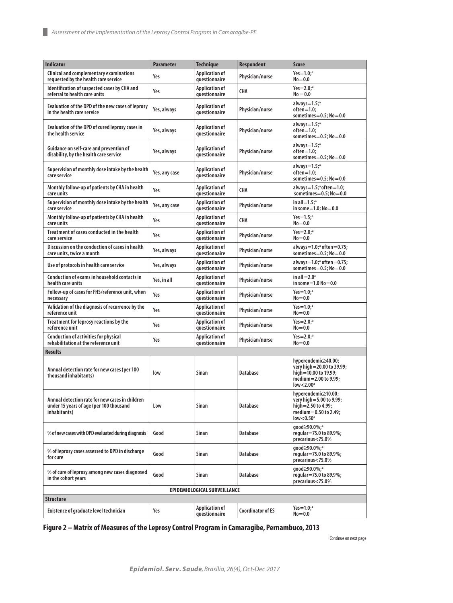| <b>Indicator</b>                                                                                           | <b>Parameter</b> | <b>Technique</b>                       | <b>Respondent</b>        | <b>Score</b>                                                                                                                |
|------------------------------------------------------------------------------------------------------------|------------------|----------------------------------------|--------------------------|-----------------------------------------------------------------------------------------------------------------------------|
| Clinical and complementary examinations<br>requested by the health care service                            | Yes              | <b>Application of</b><br>questionnaire | Physician/nurse          | $Yes = 1.0;$ <sup>a</sup><br>$No = 0.0$                                                                                     |
| Identification of suspected cases by CHA and<br>referral to health care units                              | Yes              | <b>Application of</b><br>questionnaire | CHA                      | $Yes = 2.0;$ <sup>a</sup><br>$No = 0.0$                                                                                     |
| Evaluation of the DPD of the new cases of leprosy<br>in the health care service                            | Yes, always      | <b>Application of</b><br>questionnaire | Physician/nurse          | always= $1.54$<br>$often=1.0;$<br>sometimes= $0.5$ ; No= $0.0$                                                              |
| Evaluation of the DPD of cured leprosy cases in<br>the health service                                      | Yes, always      | <b>Application of</b><br>questionnaire | Physician/nurse          | always= $1.5$ ; <sup>a</sup><br>$often=1.0$<br>sometimes= $0.5$ ; No= $0.0$                                                 |
| Guidance on self-care and prevention of<br>disability, by the health care service                          | Yes, always      | <b>Application of</b><br>questionnaire | Physician/nurse          | always= $1.5$ ; <sup>a</sup><br>$often=1.0;$<br>sometimes= $0.5$ ; No= $0.0$                                                |
| Supervision of monthly dose intake by the health<br>care service                                           | Yes, any case    | <b>Application of</b><br>questionnaire | Physician/nurse          | always= $1.5$ ; <sup>a</sup><br>$often=1.0$ :<br>sometimes= $0.5$ ; No= $0.0$                                               |
| Monthly follow-up of patients by CHA in health<br>care units                                               | Yes              | <b>Application of</b><br>questionnaire | <b>CHA</b>               | always= $1.5$ ; <sup>a</sup> often= $1.0$ ;<br>sometimes= $0.5$ ; No= $0.0$                                                 |
| Supervision of monthly dose intake by the health<br>care service                                           | Yes, any case    | <b>Application of</b><br>questionnaire | Physician/nurse          | in all= $1.5$ : <sup>a</sup><br>in some= $1.0$ ; No= $0.0$                                                                  |
| Monthly follow-up of patients by CHA in health<br>care units                                               | Yes              | <b>Application of</b><br>questionnaire | CHA                      | Yes= $1.5$ : <sup>a</sup><br>$No = 0.0$                                                                                     |
| Treatment of cases conducted in the health<br>care service                                                 | Yes              | <b>Application of</b><br>questionnaire | Physician/nurse          | $Yes = 2.0;$ <sup>a</sup><br>$No = 0.0$                                                                                     |
| Discussion on the conduction of cases in health<br>care units, twice a month                               | Yes, always      | <b>Application of</b><br>questionnaire | Physician/nurse          | always= $1.0$ ; <sup>a</sup> often= $0.75$ ;<br>sometimes= $0.5$ ; No= $0.0$                                                |
| Use of protocols in health care service                                                                    | Yes, always      | <b>Application of</b><br>questionnaire | Physician/nurse          | always= $1.0$ ; <sup>a</sup> often= $0.75$ ;<br>sometimes= $0.5$ ; No= $0.0$                                                |
| Conduction of exams in household contacts in<br>health care units                                          | Yes, in all      | <b>Application of</b><br>questionnaire | Physician/nurse          | in all $=$ 2.0 $^{\circ}$<br>in some= $1.0 N_0 = 0.0$                                                                       |
| Follow-up of cases for FHS/reference unit, when<br>necessary                                               | Yes              | <b>Application of</b><br>questionnaire | Physician/nurse          | $Yes = 1.0;$ <sup>a</sup><br>$No = 0.0$                                                                                     |
| Validation of the diagnosis of recurrence by the<br>reference unit                                         | Yes              | <b>Application of</b><br>questionnaire | Physician/nurse          | $Yes = 1.0;$ <sup>a</sup><br>$No = 0.0$                                                                                     |
| Treatment for leprosy reactions by the<br>reference unit                                                   | Yes              | <b>Application of</b><br>questionnaire | Physician/nurse          | $Yes = 2.0;$ <sup>a</sup><br>$No = 0.0$                                                                                     |
| <b>Conduction of activities for physical</b><br>rehabilitation at the reference unit                       | Yes              | <b>Application of</b><br>questionnaire | Physician/nurse          | $Yes = 2.0;$ <sup>a</sup><br>$No = 0.0$                                                                                     |
| <b>Results</b>                                                                                             |                  |                                        |                          |                                                                                                                             |
| Annual detection rate for new cases (per 100<br>thousand inhabitants)                                      | low              | Sinan                                  | <b>Database</b>          | hyperendemic≥40.00;<br>very high=20.00 to 39.99;<br>high=10.00 to 19.99;<br>medium=2.00 to 9.99:<br>low < 2.00 <sup>a</sup> |
| Annual detection rate for new cases in children<br>under 15 years of age (per 100 thousand<br>inhabitants) | Low              | Sinan                                  | Database                 | hyperendemic≥10.00;<br>very high=5.00 to 9.99;<br>high=2.50 to 4.99;<br>medium=0.50 to 2.49;<br>$low < 0.50$ <sup>a</sup>   |
| % of new cases with DPD evaluated during diagnosis                                                         | Good             | Sinan                                  | <b>Database</b>          | aood≥90.0%; <sup>a</sup><br>regular=75.0 to 89.9%;<br>precarious<75.0%                                                      |
| % of leprosy cases assessed to DPD in discharge<br>for cure                                                | Good             | Sinan                                  | Database                 | qood≥90.0%; <sup>a</sup><br>regular=75.0 to 89.9%;<br>precarious<75.0%                                                      |
| % of cure of leprosy among new cases diagnosed<br>in the cohort years                                      | Good             | Sinan                                  | Database                 | good≥90.0%;ª<br>regular=75.0 to 89.9%;<br>precarious<75.0%                                                                  |
| EPIDEMIOLOGICAL SURVEILLANCE                                                                               |                  |                                        |                          |                                                                                                                             |
| <b>Structure</b>                                                                                           |                  |                                        |                          |                                                                                                                             |
| Existence of graduate level technician                                                                     | Yes              | <b>Application of</b><br>questionnaire | <b>Coordinator of ES</b> | Yes=1.0;ª<br>$No = 0.0$                                                                                                     |

**Figure 2 – Matrix of Measures of the Leprosy Control Program in Camaragibe, Pernambuco, 2013**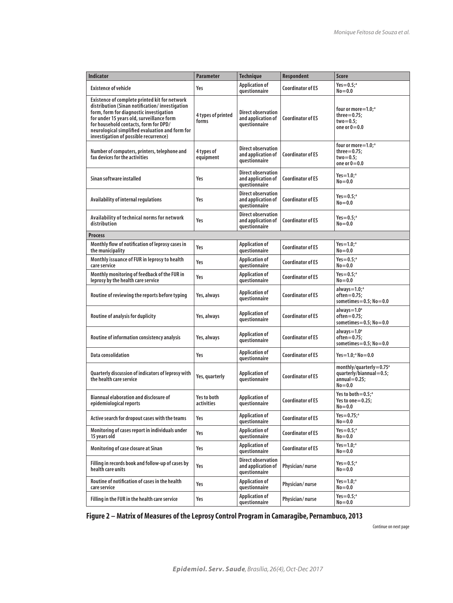| <b>Indicator</b>                                                                                                                                                                                                                                                                                                             | <b>Parameter</b>            | <b>Technique</b>                                                 | <b>Respondent</b>        | <b>Score</b>                                                                             |
|------------------------------------------------------------------------------------------------------------------------------------------------------------------------------------------------------------------------------------------------------------------------------------------------------------------------------|-----------------------------|------------------------------------------------------------------|--------------------------|------------------------------------------------------------------------------------------|
| <b>Existence of vehicle</b>                                                                                                                                                                                                                                                                                                  | Yes                         | <b>Application of</b><br>questionnaire                           | <b>Coordinator of ES</b> | $Yes = 0.5;$ <sup>a</sup><br>$No = 0.0$                                                  |
| Existence of complete printed kit for network<br>distribution (Sinan notification/investigation<br>form, form for diagnostic investigation<br>for under 15 years old, surveillance form<br>for household contacts, form for DPD/<br>neurological simplified evaluation and form for<br>investigation of possible recurrence) | 4 types of printed<br>forms | <b>Direct observation</b><br>and application of<br>questionnaire | Coordinator of FS        | four or more = 1.0;ª<br>$three=0.75;$<br>$two = 0.5$<br>one or $0=0.0$                   |
| Number of computers, printers, telephone and<br>fax devices for the activities                                                                                                                                                                                                                                               | 4 types of<br>equipment     | <b>Direct observation</b><br>and application of<br>questionnaire | <b>Coordinator of ES</b> | four or more = 1.0;ª<br>$three = 0.75$<br>$two = 0.5$<br>one or $0=0.0$                  |
| Sinan software installed                                                                                                                                                                                                                                                                                                     | Yes                         | <b>Direct observation</b><br>and application of<br>questionnaire | Coordinator of FS        | Yes= $1.0;$ <sup>a</sup><br>$No = 0.0$                                                   |
| Availability of internal regulations                                                                                                                                                                                                                                                                                         | Yes                         | <b>Direct observation</b><br>and application of<br>questionnaire | <b>Coordinator of ES</b> | Yes= $0.5$ ; <sup>a</sup><br>$No = 0.0$                                                  |
| Availability of technical norms for network<br>distribution                                                                                                                                                                                                                                                                  | Yes                         | <b>Direct observation</b><br>and application of<br>questionnaire | Coordinator of FS        | $Yes = 0.5;$ <sup>a</sup><br>$No = 0.0$                                                  |
| <b>Process</b>                                                                                                                                                                                                                                                                                                               |                             |                                                                  |                          |                                                                                          |
| Monthly flow of notification of leprosy cases in<br>the municipality                                                                                                                                                                                                                                                         | Yes                         | <b>Application of</b><br>questionnaire                           | <b>Coordinator of ES</b> | $Yes = 1.0;$ <sup>a</sup><br>$No = 0.0$                                                  |
| Monthly issuance of FUR in leprosy to health<br>care service                                                                                                                                                                                                                                                                 | Yes                         | <b>Application of</b><br>questionnaire                           | <b>Coordinator of ES</b> | $Yes = 0.5;$ <sup>a</sup><br>$No = 0.0$                                                  |
| Monthly monitoring of feedback of the FUR in<br>leprosy by the health care service                                                                                                                                                                                                                                           | Yes                         | <b>Application of</b><br>questionnaire                           | <b>Coordinator of ES</b> | $Yes = 0.5$ ; <sup>a</sup><br>$No = 0.0$                                                 |
| Routine of reviewing the reports before typing                                                                                                                                                                                                                                                                               | Yes, always                 | <b>Application of</b><br>questionnaire                           | <b>Coordinator of ES</b> | always=1.0; <sup>a</sup><br>$often=0.75$ :<br>sometimes= $0.5$ ; No= $0.0$               |
| <b>Routine of analysis for duplicity</b>                                                                                                                                                                                                                                                                                     | Yes, always                 | <b>Application of</b><br>questionnaire                           | <b>Coordinator of ES</b> | $always = 1.0a$<br>often=0.75;<br>sometimes= $0.5$ ; No= $0.0$                           |
| Routine of information consistency analysis                                                                                                                                                                                                                                                                                  | Yes, always                 | <b>Application of</b><br>questionnaire                           | <b>Coordinator of ES</b> | $always = 1.0a$<br>often=0.75;<br>sometimes= $0.5$ ; No= $0.0$                           |
| <b>Data consolidation</b>                                                                                                                                                                                                                                                                                                    | Yes                         | <b>Application of</b><br>questionnaire                           | <b>Coordinator of ES</b> | Yes=1.0;ªNo=0.0                                                                          |
| Quarterly discussion of indicators of leprosy with<br>the health care service                                                                                                                                                                                                                                                | Yes, quarterly              | <b>Application of</b><br>questionnaire                           | <b>Coordinator of ES</b> | monthly/quarterly=0.75 $a$<br>quarterly/biannual=0.5;<br>$annual = 0.25$ ;<br>$No = 0.0$ |
| <b>Biannual elaboration and disclosure of</b><br>epidemiological reports                                                                                                                                                                                                                                                     | Yes to both<br>activities   | <b>Application of</b><br>questionnaire                           | <b>Coordinator of ES</b> | Yes to both $= 0.5$ : <sup>a</sup><br>Yes to one $=$ 0.25;<br>$No = 0.0$                 |
| Active search for dropout cases with the teams                                                                                                                                                                                                                                                                               | Yes                         | <b>Application of</b><br>questionnaire                           | <b>Coordinator of ES</b> | $Yes = 0.75;$ <sup>a</sup><br>$No = 0.0$                                                 |
| Monitoring of cases report in individuals under<br>15 years old                                                                                                                                                                                                                                                              | Yes                         | <b>Application of</b><br>questionnaire                           | <b>Coordinator of ES</b> | $Yes = 0.5;$ <sup>a</sup><br>$No = 0.0$                                                  |
| Monitoring of case closure at Sinan                                                                                                                                                                                                                                                                                          | Yes                         | <b>Application of</b><br>questionnaire                           | <b>Coordinator of ES</b> | $Yes = 1.0;$ <sup>a</sup><br>$No = 0.0$                                                  |
| Filling in records book and follow-up of cases by<br>health care units                                                                                                                                                                                                                                                       | Yes                         | <b>Direct observation</b><br>and application of<br>questionnaire | Physician/nurse          | Yes $= 0.5$ ; <sup>a</sup><br>$No = 0.0$                                                 |
| Routine of notification of cases in the health<br>care service                                                                                                                                                                                                                                                               | Yes                         | <b>Application of</b><br>questionnaire                           | Physician/nurse          | $Yes = 1.0;$ <sup>a</sup><br>$No = 0.0$                                                  |
| Filling in the FUR in the health care service                                                                                                                                                                                                                                                                                | Yes                         | <b>Application of</b><br>questionnaire                           | Physician/nurse          | Yes= $0.5$ ; <sup>a</sup><br>$No = 0.0$                                                  |

**Figure 2 – Matrix of Measures of the Leprosy Control Program in Camaragibe, Pernambuco, 2013**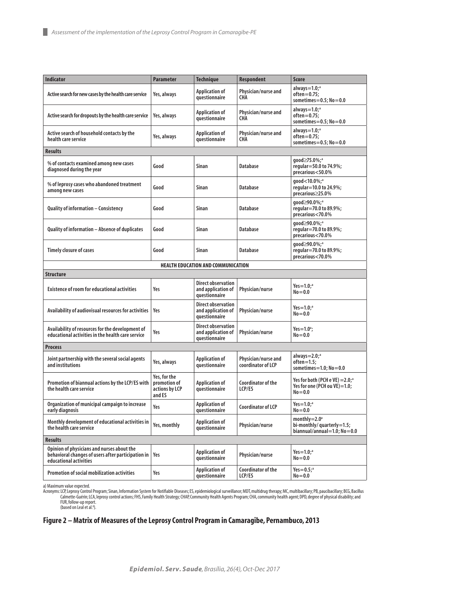| <b>Indicator</b>                                                                                                           | <b>Parameter</b>                                         | <b>Technique</b>                                                 | <b>Respondent</b>                         | <b>Score</b>                                                                                   |
|----------------------------------------------------------------------------------------------------------------------------|----------------------------------------------------------|------------------------------------------------------------------|-------------------------------------------|------------------------------------------------------------------------------------------------|
| Active search for new cases by the health care service                                                                     | Yes, always                                              | <b>Application of</b><br>questionnaire                           | Physician/nurse and<br>CHA                | always= $1.0$ ; <sup>a</sup><br>$often=0.75;$<br>sometimes= $0.5$ : No= $0.0$                  |
| Active search for dropouts by the health care service                                                                      | Yes, always                                              | <b>Application of</b><br>questionnaire                           | Physician/nurse and<br>CHA                | always= $1.0$ ; <sup>a</sup><br>$often=0.75;$<br>sometimes= $0.5$ ; No= $0.0$                  |
| Active search of household contacts by the<br>health care service                                                          | Yes, always                                              | <b>Application of</b><br>questionnaire                           | Physician/nurse and<br>CHA                | always= $1.0$ ; <sup>a</sup><br>$often=0.75;$<br>sometimes= $0.5$ ; No= $0.0$                  |
| <b>Results</b>                                                                                                             |                                                          |                                                                  |                                           |                                                                                                |
| % of contacts examined among new cases<br>diagnosed during the year                                                        | Good                                                     | Sinan                                                            | Database                                  | good≥75.0%;ª<br>regular=50.0 to 74.9%;<br>precarious<50.0%                                     |
| % of leprosy cases who abandoned treatment<br>among new cases                                                              | Good                                                     | Sinan                                                            | Database                                  | aood<10.0%; <sup>a</sup><br>regular=10.0 to 24.9%;<br>precarious≥25.0%                         |
| <b>Quality of information - Consistency</b>                                                                                | Good                                                     | <b>Sinan</b>                                                     | Database                                  | qood≥90.0%; <sup>a</sup><br>regular=70.0 to 89.9%;<br>precarious<70.0%                         |
| Quality of information - Absence of duplicates                                                                             | Good                                                     | <b>Sinan</b>                                                     | <b>Database</b>                           | qood≥90.0%; <sup>a</sup><br>regular=70.0 to 89.9%;<br>precarious<70.0%                         |
| <b>Timely closure of cases</b>                                                                                             | Good                                                     | <b>Sinan</b>                                                     | <b>Database</b>                           | qood≥90.0%; <sup>a</sup><br>regular=70.0 to 89.9%;<br>precarious<70.0%                         |
|                                                                                                                            |                                                          | <b>HEALTH EDUCATION AND COMMUNICATION</b>                        |                                           |                                                                                                |
| Structure                                                                                                                  |                                                          |                                                                  |                                           |                                                                                                |
| <b>Existence of room for educational activities</b>                                                                        | Yes                                                      | <b>Direct observation</b><br>and application of<br>questionnaire | Physician/nurse                           | Yes= $1.0$ ; <sup>a</sup><br>$No = 0.0$                                                        |
| Availability of audiovisual resources for activities                                                                       | Yes                                                      | <b>Direct observation</b><br>and application of<br>questionnaire | Physician/nurse                           | Yes= $1.0$ ; <sup>a</sup><br>$No = 0.0$                                                        |
| Availability of resources for the development of<br>educational activities in the health care service                      | Yes                                                      | <b>Direct observation</b><br>and application of<br>questionnaire | Physician/nurse                           | Yes=1.0 <sup>a</sup> ;<br>$No = 0.0$                                                           |
| Process                                                                                                                    |                                                          |                                                                  |                                           |                                                                                                |
| Joint partnership with the several social agents<br>and institutions                                                       | Yes, always                                              | <b>Application of</b><br>questionnaire                           | Physician/nurse and<br>coordinator of LCP | always $=$ 2.0; <sup>a</sup><br>$often=1.5$<br>sometimes= $1.0$ ; No= $0.0$                    |
| Promotion of biannual actions by the LCP/ES with<br>the health care service                                                | Yes, for the<br>promotion of<br>actions by LCP<br>and ES | <b>Application of</b><br>questionnaire                           | Coordinator of the<br>LCP/ES              | Yes for both (PCH e VE) $=$ 2.0; <sup>a</sup><br>Yes for one (PCH ou $VE$ )=1.0;<br>$No = 0.0$ |
| Organization of municipal campaign to increase<br>early diagnosis                                                          | Yes                                                      | <b>Application of</b><br>questionnaire                           | <b>Coordinator of LCP</b>                 | $Yes=1.0;$ <sup>a</sup><br>$No = 0.0$                                                          |
| Monthly development of educational activities in<br>the health care service                                                | Yes, monthly                                             | <b>Application of</b><br>questionnaire                           | Physician/nurse                           | monthly= $2.0^{\circ}$<br>bi-monthly/quarterly=1.5;<br>biannual/annual=1.0; No=0.0             |
| Results                                                                                                                    |                                                          |                                                                  |                                           |                                                                                                |
| Opinion of physicians and nurses about the<br>behavioral changes of users after participation in<br>educational activities | Yes                                                      | <b>Application of</b><br>questionnaire                           | Physician/nurse                           | Yes= $1.0$ ; <sup>a</sup><br>$No = 0.0$                                                        |
| <b>Promotion of social mobilization activities</b>                                                                         | Yes                                                      | <b>Application of</b><br>questionnaire                           | Coordinator of the<br>LCP/ES              | Yes = $0.5$ ; <sup>a</sup><br>$No = 0.0$                                                       |

a) Maximum value expected.<br>Acronyms: LCP, Leprosy Control Program; Sinan, Information System for Notifiable Diseases; ES, epidemiological surveillance; MDT, multidrug therapy; MC, multibacillary; PB, paucibacillary; BCG, B

#### **Figure 2 – Matrix of Measures of the Leprosy Control Program in Camaragibe, Pernambuco, 2013**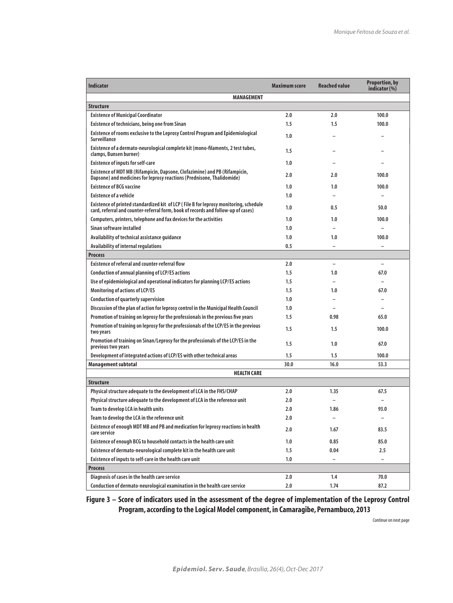| <b>Indicator</b>                                                                                                                                                           | <b>Maximum score</b> | Reached value            | <b>Proportion, by</b><br>indicator (%) |  |  |  |
|----------------------------------------------------------------------------------------------------------------------------------------------------------------------------|----------------------|--------------------------|----------------------------------------|--|--|--|
| <b>MANAGEMENT</b>                                                                                                                                                          |                      |                          |                                        |  |  |  |
| <b>Structure</b>                                                                                                                                                           |                      |                          |                                        |  |  |  |
| <b>Existence of Municipal Coordinator</b>                                                                                                                                  | 2.0                  | 2.0                      | 100.0                                  |  |  |  |
| <b>Existence of technicians, being one from Sinan</b>                                                                                                                      | 1.5                  | 1.5                      | 100.0                                  |  |  |  |
| Existence of rooms exclusive to the Leprosy Control Program and Epidemiological<br><b>Surveillance</b>                                                                     | 1.0                  |                          |                                        |  |  |  |
| Existence of a dermato-neurological complete kit (mono-filaments, 2 test tubes,<br>clamps, Bunsen burner)                                                                  | 1.5                  |                          |                                        |  |  |  |
| <b>Existence of inputs for self-care</b>                                                                                                                                   | 1.0                  |                          |                                        |  |  |  |
| Existence of MDT MB (Rifampicin, Dapsone, Clofazimine) and PB (Rifampicin,<br>Dapsone) and medicines for leprosy reactions (Prednisone, Thalidomide)                       | 2.0                  | 2.0                      | 100.0                                  |  |  |  |
| <b>Existence of BCG vaccine</b>                                                                                                                                            | 1.0                  | 1.0                      | 100.0                                  |  |  |  |
| <b>Existence of a vehicle</b>                                                                                                                                              | 1.0                  |                          |                                        |  |  |  |
| Existence of printed standardized kit of LCP (File B for leprosy monitoring, schedule<br>card, referral and counter-referral form, book of records and follow-up of cases) | 1.0                  | 0.5                      | 50.0                                   |  |  |  |
| Computers, printers, telephone and fax devices for the activities                                                                                                          | 1.0                  | 1.0                      | 100.0                                  |  |  |  |
| Sinan software installed                                                                                                                                                   | 1.0                  |                          |                                        |  |  |  |
| Availability of technical assistance quidance                                                                                                                              | 1.0                  | 1.0                      | 100.0                                  |  |  |  |
| Availability of internal regulations                                                                                                                                       | 0.5                  | $\overline{a}$           | $\overline{\phantom{0}}$               |  |  |  |
| <b>Process</b>                                                                                                                                                             |                      |                          |                                        |  |  |  |
| <b>Existence of referral and counter-referral flow</b>                                                                                                                     | 2.0                  | $\overline{\phantom{0}}$ | $\overline{\phantom{0}}$               |  |  |  |
| Conduction of annual planning of LCP/ES actions                                                                                                                            | 1.5                  | 1.0                      | 67.0                                   |  |  |  |
| Use of epidemiological and operational indicators for planning LCP/ES actions                                                                                              | 1.5                  |                          | $\overline{\phantom{0}}$               |  |  |  |
| <b>Monitoring of actions of LCP/ES</b>                                                                                                                                     | $1.5\,$              | 1.0                      | 67.0                                   |  |  |  |
| <b>Conduction of quarterly supervision</b>                                                                                                                                 | 1.0                  | $\overline{\phantom{0}}$ |                                        |  |  |  |
| Discussion of the plan of action for leprosy control in the Municipal Health Council                                                                                       | 1.0                  |                          |                                        |  |  |  |
| Promotion of training on leprosy for the professionals in the previous five years                                                                                          | 1.5                  | 0.98                     | 65.0                                   |  |  |  |
| Promotion of training on leprosy for the professionals of the LCP/ES in the previous<br>two years                                                                          | $1.5\,$              | 1.5                      | 100.0                                  |  |  |  |
| Promotion of training on Sinan/Leprosy for the professionals of the LCP/ES in the<br>previous two years                                                                    | $1.5\,$              | 1.0                      | 67.0                                   |  |  |  |
| Development of integrated actions of LCP/ES with other technical areas                                                                                                     | 1.5                  | $1.5\,$                  | 100.0                                  |  |  |  |
| Management subtotal                                                                                                                                                        | 30.0                 | 16.0                     | 53.3                                   |  |  |  |
| <b>HEALTH CARE</b>                                                                                                                                                         |                      |                          |                                        |  |  |  |
| <b>Structure</b>                                                                                                                                                           |                      |                          |                                        |  |  |  |
| Physical structure adequate to the development of LCA in the FHS/CHAP                                                                                                      | 2.0                  | 1.35                     | 67.5                                   |  |  |  |
| Physical structure adequate to the development of LCA in the reference unit                                                                                                | 2.0                  |                          |                                        |  |  |  |
| Team to develop LCA in health units                                                                                                                                        | 2.0                  | 1.86                     | 93.0                                   |  |  |  |
| Team to develop the LCA in the reference unit                                                                                                                              | 2.0                  |                          |                                        |  |  |  |
| Existence of enough MDT MB and PB and medication for leprosy reactions in health<br>care service                                                                           | 2.0                  | 1.67                     | 83.5                                   |  |  |  |
| Existence of enough BCG to household contacts in the health care unit                                                                                                      | 1.0                  | 0.85                     | 85.0                                   |  |  |  |
| Existence of dermato-neurological complete kit in the health care unit                                                                                                     | 1.5                  | 0.04                     | $2.5\,$                                |  |  |  |
| Existence of inputs to self-care in the health care unit                                                                                                                   | 1.0                  | $\overline{\phantom{0}}$ | $\overline{\phantom{0}}$               |  |  |  |
| <b>Process</b>                                                                                                                                                             |                      |                          |                                        |  |  |  |
| Diagnosis of cases in the health care service                                                                                                                              | 2.0                  | 1.4                      | 70.0                                   |  |  |  |
| Conduction of dermato-neurological examination in the health care service                                                                                                  | 2.0                  | 1.74                     | 87.2                                   |  |  |  |

## **Figure 3 – Score of indicators used in the assessment of the degree of implementation of the Leprosy Control Program, according to the Logical Model component, in Camaragibe, Pernambuco, 2013**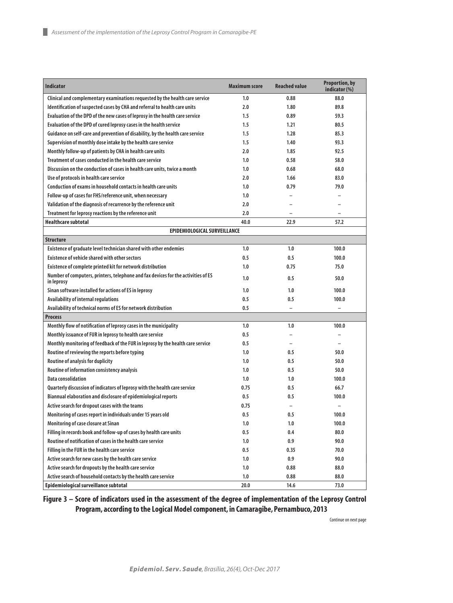| <b>Indicator</b>                                                                                | <b>Maximum score</b> | <b>Reached value</b> | <b>Proportion, by</b><br>indicator (%) |
|-------------------------------------------------------------------------------------------------|----------------------|----------------------|----------------------------------------|
| Clinical and complementary examinations requested by the health care service                    | 1.0                  | 0.88                 | 88.0                                   |
| Identification of suspected cases by CHA and referral to health care units                      | 2.0                  | 1.80                 | 89.8                                   |
| Evaluation of the DPD of the new cases of leprosy in the health care service                    | 1.5                  | 0.89                 | 59.3                                   |
| Evaluation of the DPD of cured leprosy cases in the health service                              | 1.5                  | 1.21                 | 80.5                                   |
| Guidance on self-care and prevention of disability, by the health care service                  | 1.5                  | 1.28                 | 85.3                                   |
| Supervision of monthly dose intake by the health care service                                   | 1.5                  | 1.40                 | 93.3                                   |
| Monthly follow-up of patients by CHA in health care units                                       | 2.0                  | 1.85                 | 92.5                                   |
| Treatment of cases conducted in the health care service                                         | 1.0                  | 0.58                 | 58.0                                   |
| Discussion on the conduction of cases in health care units, twice a month                       | 1.0                  | 0.68                 | 68.0                                   |
| Use of protocols in health care service                                                         | 2.0                  | 1.66                 | 83.0                                   |
| Conduction of exams in household contacts in health care units                                  | 1.0                  | 0.79                 | 79.0                                   |
| Follow-up of cases for FHS/reference unit, when necessary                                       | 1.0                  |                      |                                        |
| Validation of the diagnosis of recurrence by the reference unit                                 | 2.0                  |                      |                                        |
| Treatment for leprosy reactions by the reference unit                                           | 2.0                  |                      |                                        |
| <b>Healthcare subtotal</b>                                                                      | 40.0                 | 22.9                 | 57.2                                   |
| EPIDEMIOLOGICAL SURVEILLANCE                                                                    |                      |                      |                                        |
| <b>Structure</b>                                                                                |                      |                      |                                        |
| Existence of graduate level technician shared with other endemies                               | 1.0                  | 1.0                  | 100.0                                  |
| <b>Existence of vehicle shared with other sectors</b>                                           | 0.5                  | 0.5                  | 100.0                                  |
| Existence of complete printed kit for network distribution                                      | 1.0                  | 0.75                 | 75.0                                   |
| Number of computers, printers, telephone and fax devices for the activities of ES<br>in leprosy | 1.0                  | 0.5                  | 50.0                                   |
| Sinan software installed for actions of ES in leprosy                                           | 1.0                  | 1.0                  | 100.0                                  |
| Availability of internal regulations                                                            | 0.5                  | 0.5                  | 100.0                                  |
| Availability of technical norms of ES for network distribution                                  | 0.5                  | $\qquad \qquad -$    | $\qquad \qquad -$                      |
| <b>Process</b>                                                                                  |                      |                      |                                        |
| Monthly flow of notification of leprosy cases in the municipality                               | 1.0                  | 1.0                  | 100.0                                  |
| Monthly issuance of FUR in leprosy to health care service                                       | 0.5                  |                      | $\qquad \qquad -$                      |
| Monthly monitoring of feedback of the FUR in leprosy by the health care service                 | 0.5                  |                      |                                        |
| Routine of reviewing the reports before typing                                                  | 1.0                  | 0.5                  | 50.0                                   |
| Routine of analysis for duplicity                                                               | 1.0                  | 0.5                  | 50.0                                   |
| Routine of information consistency analysis                                                     | 1.0                  | 0.5                  | 50.0                                   |
| <b>Data consolidation</b>                                                                       | 1.0                  | 1.0                  | 100.0                                  |
| Quarterly discussion of indicators of leprosy with the health care service                      | 0.75                 | 0.5                  | 66.7                                   |
| Biannual elaboration and disclosure of epidemiological reports                                  | 0.5                  | 0.5                  | 100.0                                  |
| Active search for dropout cases with the teams                                                  | 0.75                 |                      |                                        |
| Monitoring of cases report in individuals under 15 years old                                    | 0.5                  | 0.5                  | 100.0                                  |
| Monitoring of case closure at Sinan                                                             | 1.0                  | 1.0                  | 100.0                                  |
| Filling in records book and follow-up of cases by health care units                             | $0.5\,$              | 0.4                  | 80.0                                   |
| Routine of notification of cases in the health care service                                     | 1.0                  | 0.9                  | 90.0                                   |
| Filling in the FUR in the health care service                                                   | $0.5\,$              | 0.35                 | 70.0                                   |
| Active search for new cases by the health care service                                          | 1.0                  | 0.9                  | 90.0                                   |
| Active search for dropouts by the health care service                                           | 1.0                  | 0.88                 | 88.0                                   |
| Active search of household contacts by the health care service                                  | 1.0                  | 0.88                 | 88.0                                   |
| Epidemiological surveillance subtotal                                                           | 20.0                 | 14.6                 | 73.0                                   |

**Figure 3 – Score of indicators used in the assessment of the degree of implementation of the Leprosy Control Program, according to the Logical Model component, in Camaragibe, Pernambuco, 2013**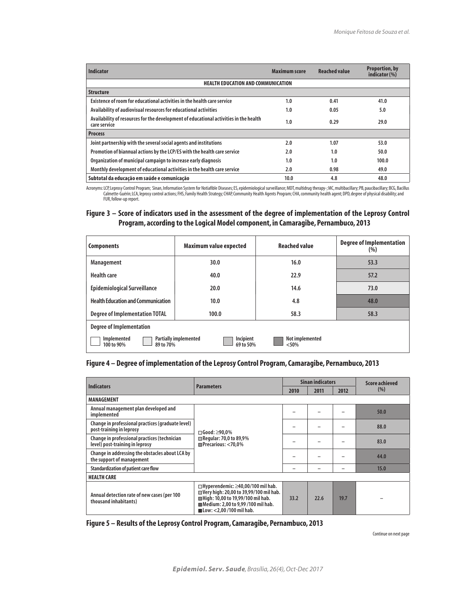| Indicator                                                                                             | Maximum score | <b>Reached value</b> | <b>Proportion, by</b><br>indicator (%) |
|-------------------------------------------------------------------------------------------------------|---------------|----------------------|----------------------------------------|
| <b>HEALTH EDUCATION AND COMMUNICATION</b>                                                             |               |                      |                                        |
| <b>Structure</b>                                                                                      |               |                      |                                        |
| Existence of room for educational activities in the health care service                               | 1.0           | 0.41                 | 41.0                                   |
| Availability of audiovisual resources for educational activities                                      | 1.0           | 0.05                 | 5.0                                    |
| Availability of resources for the development of educational activities in the health<br>care service | 1.0           | 0.29                 | 29.0                                   |
| <b>Process</b>                                                                                        |               |                      |                                        |
| Joint partnership with the several social agents and institutions                                     | 2.0           | 1.07                 | 53.0                                   |
| Promotion of biannual actions by the LCP/ES with the health care service                              | 2.0           | 1.0                  | 50.0                                   |
| Organization of municipal campaign to increase early diagnosis                                        | 1.0           | 1.0                  | 100.0                                  |
| Monthly development of educational activities in the health care service                              | 2.0           | 0.98                 | 49.0                                   |
| Subtotal da educação em saúde e comunicação                                                           | 10.0          | 4.8                  | 48.0                                   |

Acronyms: LCP,Leprosy Control Program; Sinan, Information System for Notiafible Diseases; ES, epidemiological surveillance; MDT, multidrug therapy-; MC, multibacillary; PB, paucibacillary; BCG, Bacillus<br>Calmette-Guérin; LC FUR, follow-up report.

## **Figure 3 – Score of indicators used in the assessment of the degree of implementation of the Leprosy Control Program, according to the Logical Model component, in Camaragibe, Pernambuco, 2013**

| <b>Components</b>                         | Maximum value expected                                 | <b>Reached value</b>       | <b>Degree of Implementation</b><br>(%) |
|-------------------------------------------|--------------------------------------------------------|----------------------------|----------------------------------------|
| <b>Management</b>                         | 30.0                                                   | 16.0                       | 53.3                                   |
| <b>Health care</b>                        | 40.0                                                   | 22.9                       | 57.2                                   |
| <b>Epidemiological Surveillance</b>       | 20.0                                                   | 14.6                       | 73.0                                   |
| <b>Health Education and Communication</b> | 10.0                                                   | 4.8                        | 48.0                                   |
| <b>Degree of Implementation TOTAL</b>     | 100.0                                                  | 58.3                       | 58.3                                   |
| Degree of Implementation                  |                                                        |                            |                                        |
| Implemented<br>100 to 90%<br>89 to 70%    | Incipient<br><b>Partially implemented</b><br>69 to 50% | Not implemented<br>$<$ 50% |                                        |

#### **Figure 4 – Degree of implementation of the Leprosy Control Program, Camaragibe, Pernambuco, 2013**

| <b>Indicators</b>                                                               | <b>Parameters</b>                                                                                                                                                                                              | <b>Sinan indicators</b> |      |      | <b>Score achieved</b> |
|---------------------------------------------------------------------------------|----------------------------------------------------------------------------------------------------------------------------------------------------------------------------------------------------------------|-------------------------|------|------|-----------------------|
|                                                                                 |                                                                                                                                                                                                                | 2010                    | 2011 | 2012 | (% )                  |
| <b>MANAGEMENT</b>                                                               |                                                                                                                                                                                                                |                         |      |      |                       |
| Annual management plan developed and<br>implemented                             |                                                                                                                                                                                                                |                         |      |      | 50.0                  |
| Change in professional practices (graduate level)<br>post-training in leprosy   | $\Box$ Good: $\geq$ 90.0%<br>Regular: 70,0 to 89,9%<br>Precarious: <70,0%                                                                                                                                      |                         |      |      | 88.0                  |
| Change in professional practices (technician<br>level) post-training in leprosy |                                                                                                                                                                                                                |                         |      |      | 83.0                  |
| Change in addressing the obstacles about LCA by<br>the support of management    |                                                                                                                                                                                                                |                         |      |      | 44.0                  |
| Standardization of patient care flow                                            |                                                                                                                                                                                                                |                         |      |      | 15.0                  |
| <b>HEALTH CARE</b>                                                              |                                                                                                                                                                                                                |                         |      |      |                       |
| Annual detection rate of new cases (per 100<br>thousand inhabitants)            | $\Box$ Hyperendemic: $\geq$ 40,00/100 mil hab.<br>Very high: 20,00 to 39,99/100 mil hab.<br>High: 10,00 to 19,99/100 mil hab.<br>Medium: 2.00 to 9.99 /100 mil hab.<br>$\blacksquare$ Low: <2.00 /100 mil hab. | 33.2                    | 72.6 | 19.7 |                       |

**Figure 5 – Results of the Leprosy Control Program, Camaragibe, Pernambuco, 2013**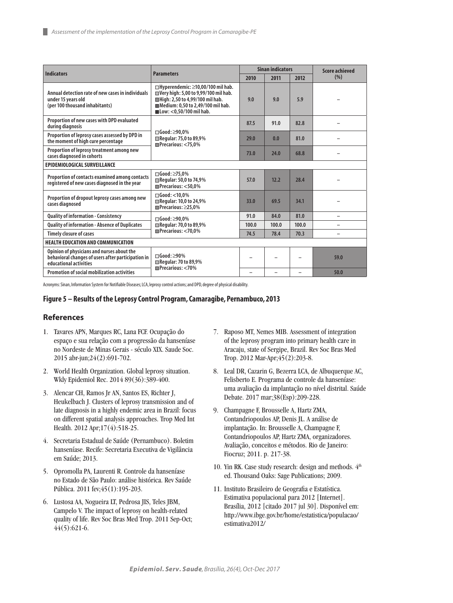| <b>Indicators</b>                                                                                                          | <b>Parameters</b>                                                                                                                                                                                        | <b>Sinan indicators</b> |                          |                          | Score achieved |
|----------------------------------------------------------------------------------------------------------------------------|----------------------------------------------------------------------------------------------------------------------------------------------------------------------------------------------------------|-------------------------|--------------------------|--------------------------|----------------|
|                                                                                                                            |                                                                                                                                                                                                          | 2010                    | 2011                     | 2012                     | (% )           |
| Annual detection rate of new cases in individuals<br>under 15 years old<br>(per 100 thousand inhabitants)                  | $\Box$ Hyperendemic: $\geq$ 10,00/100 mil hab.<br>Uery high: 5,00 to 9,99/100 mil hab.<br>High: 2,50 to 4,99/100 mil hab.<br>Medium: 0,50 to 2,49/100 mil hab.<br>$\blacksquare$ Low: <0.50/100 mil hab. | 9.0                     | 9.0                      | 5.9                      |                |
| Proportion of new cases with DPD evaluated<br>during diagnosis                                                             |                                                                                                                                                                                                          | 87.5                    | 91.0                     | 82.8                     |                |
| Proportion of leprosy cases assessed by DPD in<br>the moment of high cure percentage                                       | $\Box$ Good: $\geq$ 90.0%<br><b>■ Regular: 75,0 to 89,9%</b><br>Precarious: <75.0%                                                                                                                       | 29.0                    | 0.0                      | 81.0                     |                |
| Proportion of leprosy treatment among new<br>cases diagnosed in cohorts                                                    |                                                                                                                                                                                                          | 73.0                    | 24.0                     | 68.8                     |                |
| EPIDEMIOLOGICAL SURVEILLANCE                                                                                               |                                                                                                                                                                                                          |                         |                          |                          |                |
| Proportion of contacts examined among contacts<br>registered of new cases diagnosed in the year                            | $\Box$ Good: $\geq$ 75.0%<br><b>■ Regular: 50,0 to 74,9%</b><br>Precarious: <50.0%                                                                                                                       | 57.0                    | 12.2                     | 28.4                     |                |
| Proportion of dropout leprosy cases among new<br>cases diagnosed                                                           | $\Box$ Good: <10.0%<br>Regular: 10,0 to 24,9%<br>$Precarious: \geq 25.0%$                                                                                                                                | 33.0                    | 69.5                     | 34.1                     |                |
| <b>Quality of information - Consistency</b>                                                                                | $\Box$ Good: $\geq$ 90.0%                                                                                                                                                                                | 91.0                    | 84.0                     | 81.0                     |                |
| <b>Quality of information - Absence of Duplicates</b>                                                                      | Regular: 70,0 to 89,9%                                                                                                                                                                                   | 100.0                   | 100.0                    | 100.0                    |                |
| <b>Timely closure of cases</b>                                                                                             | $\blacksquare$ Precarious: $<$ 70.0%                                                                                                                                                                     | 74.5                    | 78.4                     | 70.3                     |                |
| <b>HEALTH EDUCATION AND COMMUNICATION</b>                                                                                  |                                                                                                                                                                                                          |                         |                          |                          |                |
| Opinion of physicians and nurses about the<br>behavioral changes of users after participation in<br>educational activities | $\Box$ Good: $\geq$ 90%<br><b>■ Regular: 70 to 89,9%</b><br>Precarious: <70%                                                                                                                             |                         |                          |                          | 59.0           |
| <b>Promotion of social mobilization activities</b>                                                                         |                                                                                                                                                                                                          | $\equiv$                | $\overline{\phantom{0}}$ | $\overline{\phantom{0}}$ | 50.0           |

Acronyms: Sinan, Information System for Notifiable Diseases; LCA, leprosy control actions; and DPD, degree of physical disability.

#### **Figure 5 – Results of the Leprosy Control Program, Camaragibe, Pernambuco, 2013**

#### **References**

ш

- 1. Tavares APN, Marques RC, Lana FCF. Ocupação do espaço e sua relação com a progressão da hanseníase no Nordeste de Minas Gerais - século XIX. Saude Soc. 2015 abr-jun;24(2):691-702.
- 2. World Health Organization. Global leprosy situation. Wkly Epidemiol Rec. 2014 89(36):389-400.
- 3. Alencar CH, Ramos Jr AN, Santos ES, Richter J, Heukelbach J. Clusters of leprosy transmission and of late diagnosis in a highly endemic area in Brazil: focus on different spatial analysis approaches. Trop Med Int Health. 2012 Apr;17(4):518-25.
- 4. Secretaria Estadual de Saúde (Pernambuco). Boletim hanseníase. Recife: Secretaria Executiva de Vigilância em Saúde; 2013.
- 5. Opromolla PA, Laurenti R. Controle da hanseníase no Estado de São Paulo: análise histórica. Rev Saúde Pública. 2011 fev;45(1):195-203.
- 6. Lustosa AA, Nogueira LT, Pedrosa JIS, Teles JBM, Campelo V. The impact of leprosy on health-related quality of life. Rev Soc Bras Med Trop. 2011 Sep-Oct; 44(5):621-6.
- 7. Raposo MT, Nemes MIB. Assessment of integration of the leprosy program into primary health care in Aracaju, state of Sergipe, Brazil. Rev Soc Bras Med Trop. 2012 Mar-Apr;45(2):203-8.
- 8. Leal DR, Cazarin G, Bezerra LCA, de Albuquerque AC, Felisberto E. Programa de controle da hanseníase: uma avaliação da implantação no nível distrital. Saúde Debate. 2017 mar;38(Esp):209-228.
- 9. Champagne F, Brousselle A, Hartz ZMA, Contandriopoulos AP, Denis JL. A análise de implantação. In: Brousselle A, Champagne F, Contandriopoulos AP, Hartz ZMA, organizadores. Avaliação, conceitos e métodos. Rio de Janeiro: Fiocruz; 2011. p. 217-38.
- 10. Yin RK. Case study research: design and methods.  $4<sup>th</sup>$ ed. Thousand Oaks: Sage Publications; 2009.
- 11. Instituto Brasileiro de Geografia e Estatística. Estimativa populacional para 2012 [Internet]. Brasília, 2012 [citado 2017 jul 30]. Disponível em: http://www.ibge.gov.br/home/estatistica/populacao/ estimativa2012/